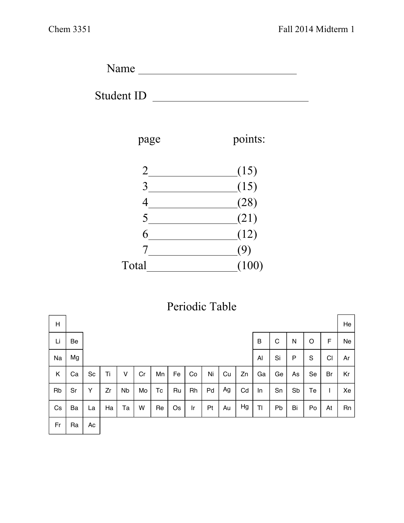Name

Student ID



page points:



|  | Periodic Table |  |
|--|----------------|--|
|  |                |  |

| $\mathsf{H}$ |    |    |    |           |    |    |    |    |    |    |    |    |    |              |    |                | He |
|--------------|----|----|----|-----------|----|----|----|----|----|----|----|----|----|--------------|----|----------------|----|
| Li           | Be |    |    |           |    |    |    |    |    |    |    | B  | C  | $\mathsf{N}$ | O  | F              | Ne |
| Na           | Mg |    |    |           |    |    |    |    |    |    |    | Al | Si | $\mathsf{P}$ | S  | C <sub>1</sub> | Ar |
| Κ            | Ca | Sc | Ti | v         | Cr | Mn | Fe | Co | Ni | Cu | Zn | Ga | Ge | As           | Se | Br             | Kr |
| Rb           | Sr | Υ  | Zr | <b>Nb</b> | Mo | Tc | Ru | Rh | Pd | Ag | Cd | In | Sn | Sb           | Te | ı              | Xe |
| Cs           | Ba | La | Ha | Ta        | W  | Re | Os | Ir | Pt | Au | Hg | TI | Pb | Bi           | Po | At             | Rn |
| Fr           | Ra | Ac |    |           |    |    |    |    |    |    |    |    |    |              |    |                |    |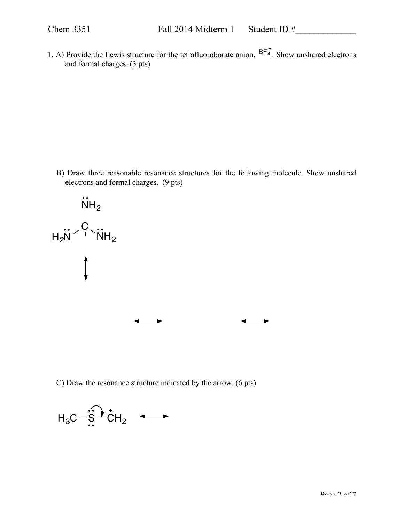1. A) Provide the Lewis structure for the tetrafluoroborate anion,  $BF_{4}^{-}$ . Show unshared electrons and formal charges. (3 pts)

B) Draw three reasonable resonance structures for the following molecule. Show unshared electrons and formal charges. (9 pts)



C) Draw the resonance structure indicated by the arrow. (6 pts)

$$
H_3C - \widehat{S} \stackrel{+}{\longrightarrow} CH_2 \quad \longleftrightarrow
$$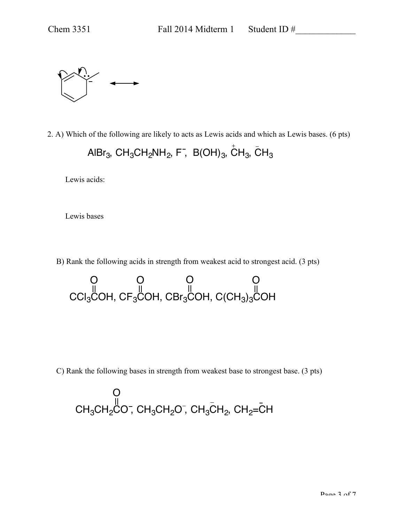2. A) Which of the following are likely to acts as Lewis acids and which as Lewis bases. (6 pts) AlBr<sub>3</sub>, CH<sub>3</sub>CH<sub>2</sub>NH<sub>2</sub>, F<sup>-</sup>, B(OH)<sub>3</sub>, CH<sub>3</sub>, CH<sub>3</sub>

Lewis acids:

Lewis bases

B) Rank the following acids in strength from weakest acid to strongest acid. (3 pts)

CCI $_{3}$ COH, CF $_{3}$ COH, CBr $_{3}$ COH, C(CH $_{3})_{3}$ COH O O O O

C) Rank the following bases in strength from weakest base to strongest base. (3 pts)

$$
\begin{array}{c}\nO \\
\parallel \\
CH_3CH_2CO^-,\quad CH_3CH_2O^-,\quad CH_3CH_2,\quad CH_2=\stackrel{\_}{C}H\n\end{array}
$$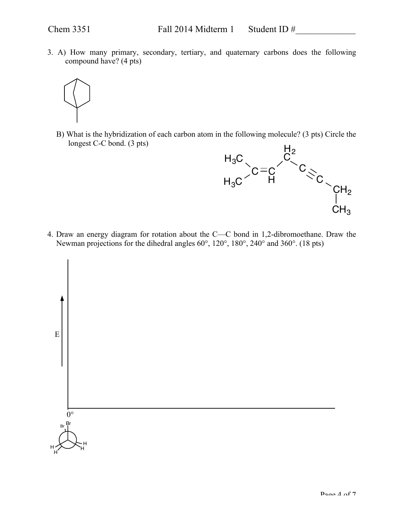3. A) How many primary, secondary, tertiary, and quaternary carbons does the following compound have? (4 pts)



B) What is the hybridization of each carbon atom in the following molecule? (3 pts) Circle the longest C-C bond. (3 pts)



4. Draw an energy diagram for rotation about the C—C bond in 1,2-dibromoethane. Draw the Newman projections for the dihedral angles 60°, 120°, 180°, 240° and 360°. (18 pts)

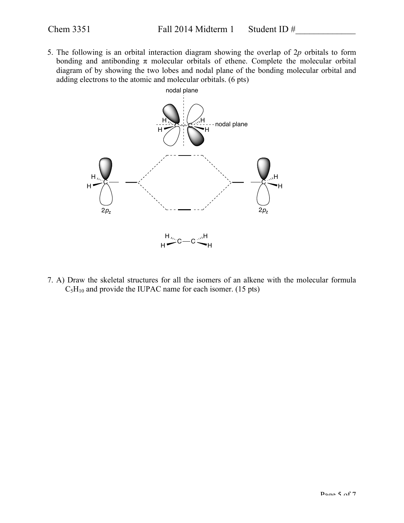5. The following is an orbital interaction diagram showing the overlap of 2*p* orbitals to form bonding and antibonding  $\pi$  molecular orbitals of ethene. Complete the molecular orbital diagram of by showing the two lobes and nodal plane of the bonding molecular orbital and adding electrons to the atomic and molecular orbitals. (6 pts)



7. A) Draw the skeletal structures for all the isomers of an alkene with the molecular formula  $C_5H_{10}$  and provide the IUPAC name for each isomer. (15 pts)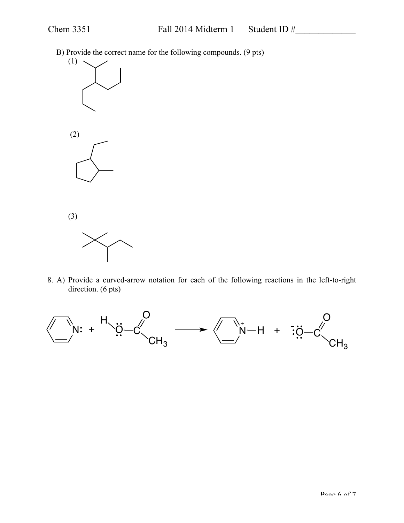B) Provide the correct name for the following compounds. (9 pts)



(3)



8. A) Provide a curved-arrow notation for each of the following reactions in the left-to-right direction. (6 pts)